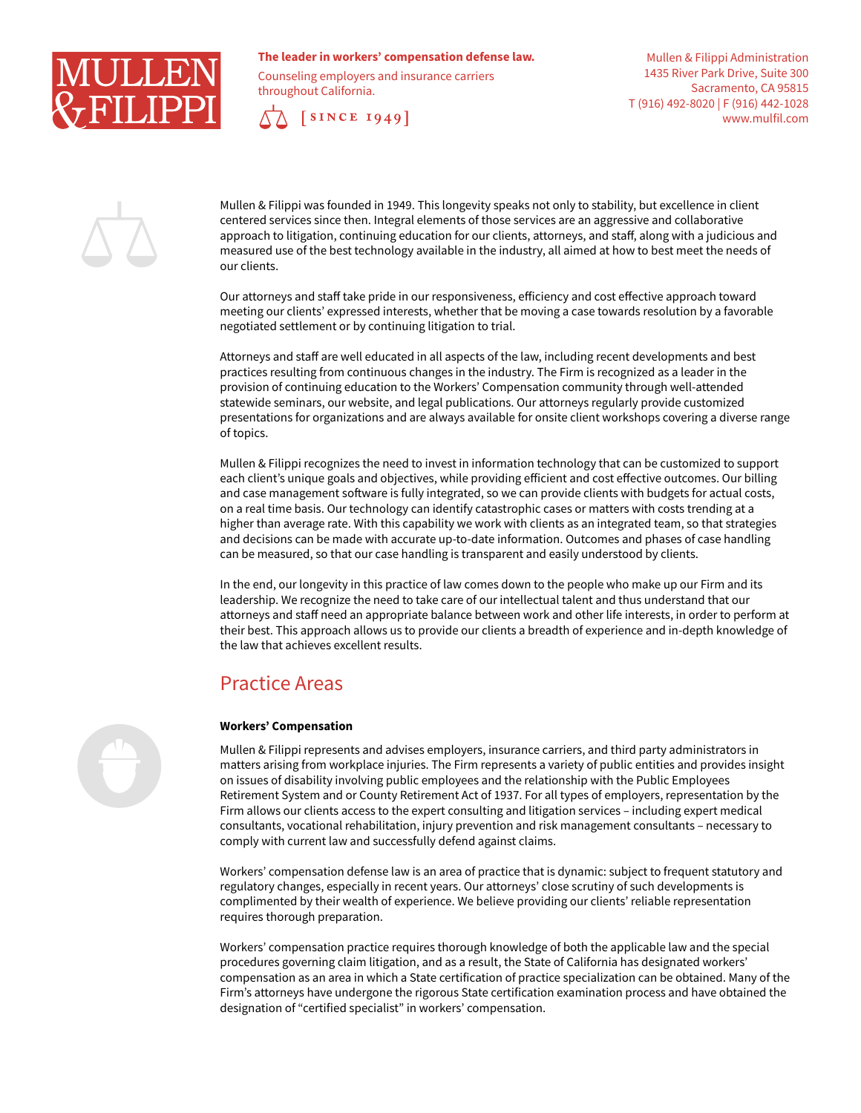

## **The leader in workers' compensation defense law.**

Counseling employers and insurance carriers throughout California.



Mullen & Filippi Administration 1435 River Park Drive, Suite 300 Sacramento, CA 95815 T (916) 492-8020 | F (916) 442-1028 www.mulfil.com



Mullen & Filippi was founded in 1949. This longevity speaks not only to stability, but excellence in client centered services since then. Integral elements of those services are an aggressive and collaborative approach to litigation, continuing education for our clients, attorneys, and staff, along with a judicious and measured use of the best technology available in the industry, all aimed at how to best meet the needs of our clients.

Our attorneys and staff take pride in our responsiveness, efficiency and cost effective approach toward meeting our clients' expressed interests, whether that be moving a case towards resolution by a favorable negotiated settlement or by continuing litigation to trial.

Attorneys and staff are well educated in all aspects of the law, including recent developments and best practices resulting from continuous changes in the industry. The Firm is recognized as a leader in the provision of continuing education to the Workers' Compensation community through well-attended statewide seminars, our website, and legal publications. Our attorneys regularly provide customized presentations for organizations and are always available for onsite client workshops covering a diverse range of topics.

Mullen & Filippi recognizes the need to invest in information technology that can be customized to support each client's unique goals and objectives, while providing efficient and cost effective outcomes. Our billing and case management software is fully integrated, so we can provide clients with budgets for actual costs, on a real time basis. Our technology can identify catastrophic cases or matters with costs trending at a higher than average rate. With this capability we work with clients as an integrated team, so that strategies and decisions can be made with accurate up-to-date information. Outcomes and phases of case handling can be measured, so that our case handling is transparent and easily understood by clients.

In the end, our longevity in this practice of law comes down to the people who make up our Firm and its leadership. We recognize the need to take care of our intellectual talent and thus understand that our attorneys and staff need an appropriate balance between work and other life interests, in order to perform at their best. This approach allows us to provide our clients a breadth of experience and in-depth knowledge of the law that achieves excellent results.

# Practice Areas

#### **Workers' Compensation**

Mullen & Filippi represents and advises employers, insurance carriers, and third party administrators in matters arising from workplace injuries. The Firm represents a variety of public entities and provides insight on issues of disability involving public employees and the relationship with the Public Employees Retirement System and or County Retirement Act of 1937. For all types of employers, representation by the Firm allows our clients access to the expert consulting and litigation services – including expert medical consultants, vocational rehabilitation, injury prevention and risk management consultants – necessary to comply with current law and successfully defend against claims.

Workers' compensation defense law is an area of practice that is dynamic: subject to frequent statutory and regulatory changes, especially in recent years. Our attorneys' close scrutiny of such developments is complimented by their wealth of experience. We believe providing our clients' reliable representation requires thorough preparation.

Workers' compensation practice requires thorough knowledge of both the applicable law and the special procedures governing claim litigation, and as a result, the State of California has designated workers' compensation as an area in which a State certification of practice specialization can be obtained. Many of the Firm's attorneys have undergone the rigorous State certification examination process and have obtained the designation of "certified specialist" in workers' compensation.